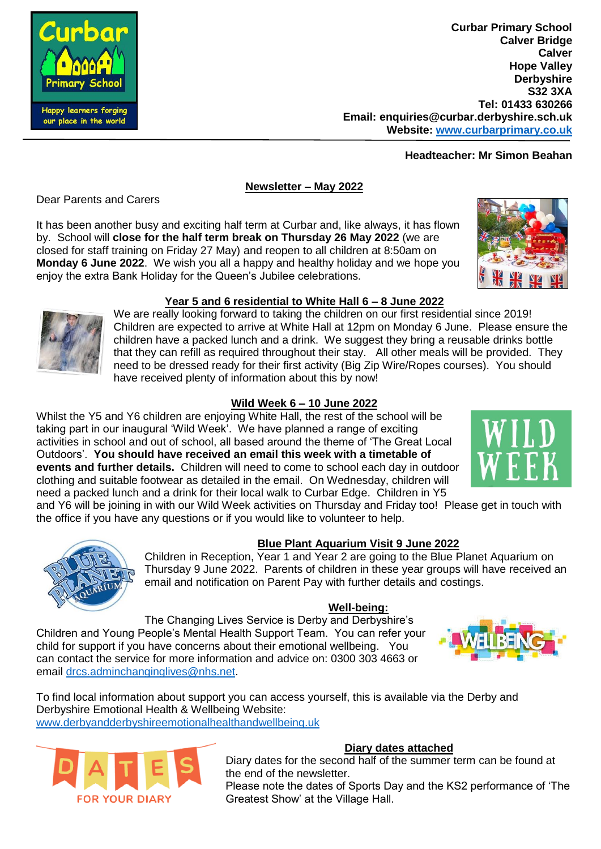

# **Headteacher: Mr Simon Beahan**

## **Newsletter – May 2022**

Dear Parents and Carers

It has been another busy and exciting half term at Curbar and, like always, it has flown by. School will **close for the half term break on Thursday 26 May 2022** (we are closed for staff training on Friday 27 May) and reopen to all children at 8:50am on **Monday 6 June 2022**. We wish you all a happy and healthy holiday and we hope you enjoy the extra Bank Holiday for the Queen's Jubilee celebrations.



We are really looking forward to taking the children on our first residential since 2019! Children are expected to arrive at White Hall at 12pm on Monday 6 June. Please ensure the children have a packed lunch and a drink. We suggest they bring a reusable drinks bottle that they can refill as required throughout their stay. All other meals will be provided. They need to be dressed ready for their first activity (Big Zip Wire/Ropes courses). You should have received plenty of information about this by now!

## **Wild Week 6 – 10 June 2022**

Whilst the Y5 and Y6 children are enjoying White Hall, the rest of the school will be taking part in our inaugural 'Wild Week'. We have planned a range of exciting activities in school and out of school, all based around the theme of 'The Great Local Outdoors'. **You should have received an email this week with a timetable of events and further details.** Children will need to come to school each day in outdoor clothing and suitable footwear as detailed in the email. On Wednesday, children will need a packed lunch and a drink for their local walk to Curbar Edge. Children in Y5

and Y6 will be joining in with our Wild Week activities on Thursday and Friday too! Please get in touch with the office if you have any questions or if you would like to volunteer to help.



## **Blue Plant Aquarium Visit 9 June 2022**

Children in Reception, Year 1 and Year 2 are going to the Blue Planet Aquarium on Thursday 9 June 2022. Parents of children in these year groups will have received an email and notification on Parent Pay with further details and costings.

#### **Well-being:**

The Changing Lives Service is Derby and Derbyshire's

Children and Young People's Mental Health Support Team. You can refer your child for support if you have concerns about their emotional wellbeing. You can contact the service for more information and advice on: 0300 303 4663 or email [drcs.adminchanginglives@nhs.net.](mailto:drcs.adminchanginglives@nhs.net)

To find local information about support you can access yourself, this is available via the Derby and Derbyshire Emotional Health & Wellbeing Website: [www.derbyandderbyshireemotionalhealthandwellbeing.uk](http://www.derbyandderbyshireemotionalhealthandwellbeing.uk/) 



# **Diary dates attached**

Diary dates for the second half of the summer term can be found at the end of the newsletter.

Please note the dates of Sports Day and the KS2 performance of 'The Greatest Show' at the Village Hall.





our place in the world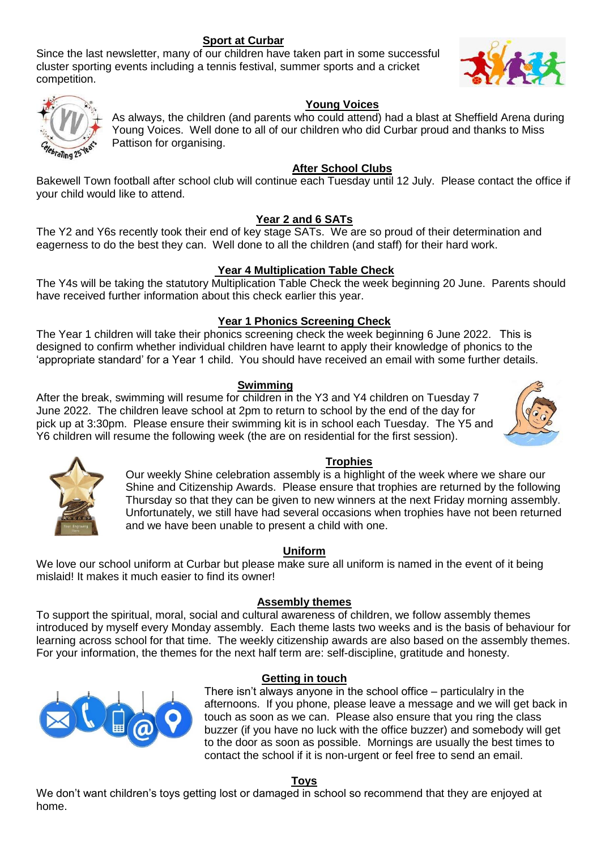## **Sport at Curbar**

Since the last newsletter, many of our children have taken part in some successful cluster sporting events including a tennis festival, summer sports and a cricket competition.





## **Young Voices**

As always, the children (and parents who could attend) had a blast at Sheffield Arena during Young Voices. Well done to all of our children who did Curbar proud and thanks to Miss Pattison for organising.

#### **After School Clubs**

Bakewell Town football after school club will continue each Tuesday until 12 July. Please contact the office if your child would like to attend.

## **Year 2 and 6 SATs**

The Y2 and Y6s recently took their end of key stage SATs. We are so proud of their determination and eagerness to do the best they can. Well done to all the children (and staff) for their hard work.

## **Year 4 Multiplication Table Check**

The Y4s will be taking the statutory Multiplication Table Check the week beginning 20 June. Parents should have received further information about this check earlier this year.

## **Year 1 Phonics Screening Check**

The Year 1 children will take their phonics screening check the week beginning 6 June 2022.  This is designed to confirm whether individual children have learnt to apply their knowledge of phonics to the 'appropriate standard' for a Year 1 child.  You should have received an email with some further details.

#### **Swimming**

After the break, swimming will resume for children in the Y3 and Y4 children on Tuesday 7 June 2022. The children leave school at 2pm to return to school by the end of the day for pick up at 3:30pm. Please ensure their swimming kit is in school each Tuesday. The Y5 and Y6 children will resume the following week (the are on residential for the first session).





#### **Trophies**

Our weekly Shine celebration assembly is a highlight of the week where we share our Shine and Citizenship Awards. Please ensure that trophies are returned by the following Thursday so that they can be given to new winners at the next Friday morning assembly. Unfortunately, we still have had several occasions when trophies have not been returned and we have been unable to present a child with one.

#### **Uniform**

We love our school uniform at Curbar but please make sure all uniform is named in the event of it being mislaid! It makes it much easier to find its owner!

#### **Assembly themes**

To support the spiritual, moral, social and cultural awareness of children, we follow assembly themes introduced by myself every Monday assembly. Each theme lasts two weeks and is the basis of behaviour for learning across school for that time. The weekly citizenship awards are also based on the assembly themes. For your information, the themes for the next half term are: self-discipline, gratitude and honesty.



#### **Getting in touch**

There isn't always anyone in the school office – particulalry in the afternoons. If you phone, please leave a message and we will get back in touch as soon as we can. Please also ensure that you ring the class buzzer (if you have no luck with the office buzzer) and somebody will get to the door as soon as possible. Mornings are usually the best times to contact the school if it is non-urgent or feel free to send an email.

## **Toys**

We don't want children's toys getting lost or damaged in school so recommend that they are enjoyed at home.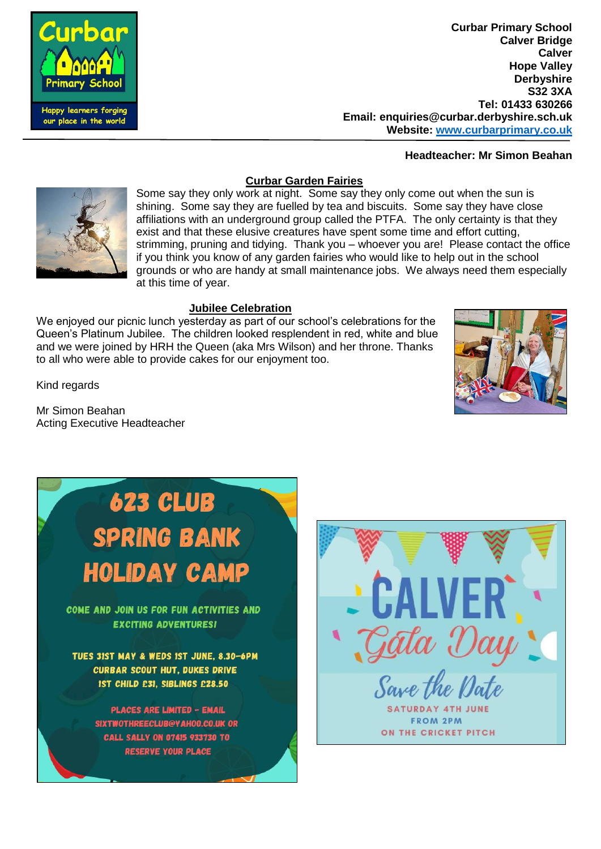

**Curbar Primary School Calver Bridge Calver Hope Valley Derbyshire S32 3XA Tel: 01433 630266 Email: enquiries@curbar.derbyshire.sch.uk Website: [www.curbarprimary.co.uk](http://www.curbarprimary.co.uk/)**

**Headteacher: Mr Simon Beahan**

## **Curbar Garden Fairies**



Some say they only work at night. Some say they only come out when the sun is shining. Some say they are fuelled by tea and biscuits. Some say they have close affiliations with an underground group called the PTFA. The only certainty is that they exist and that these elusive creatures have spent some time and effort cutting, strimming, pruning and tidying. Thank you – whoever you are! Please contact the office if you think you know of any garden fairies who would like to help out in the school grounds or who are handy at small maintenance jobs. We always need them especially at this time of year.

#### **Jubilee Celebration**

We enjoyed our picnic lunch yesterday as part of our school's celebrations for the Queen's Platinum Jubilee. The children looked resplendent in red, white and blue and we were joined by HRH the Queen (aka Mrs Wilson) and her throne. Thanks to all who were able to provide cakes for our enjoyment too.



Kind regards

Mr Simon Beahan Acting Executive Headteacher

# 623 CLUB **SPRING BANK HOLIDAY CAMP**

COME AND JOIN US FOR FUN ACTIVITIES AND **EXCITING ADVENTURES!** 

TUES 31ST MAY & WEDS IST JUNE, 8.30-6PM **CURBAR SCOUT HUT, DUKES DRIVE** IST CHILD £31. SIBLINGS £28.50

> **PLACES ARE LIMITED - EMAIL** SIXTWOTHREECLUB@YAH00.CO.UK OR **CALL SALLY ON 07415 933730 TO RESERVE YOUR PLACE**

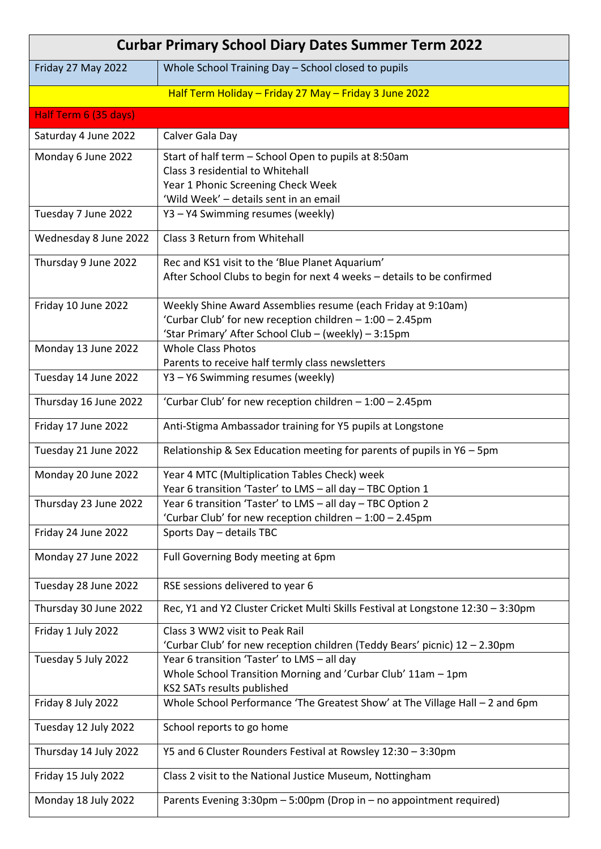| <b>Curbar Primary School Diary Dates Summer Term 2022</b> |                                                                                                                        |  |
|-----------------------------------------------------------|------------------------------------------------------------------------------------------------------------------------|--|
| Friday 27 May 2022                                        | Whole School Training Day - School closed to pupils                                                                    |  |
|                                                           | Half Term Holiday - Friday 27 May - Friday 3 June 2022                                                                 |  |
| Half Term 6 (35 days)                                     |                                                                                                                        |  |
| Saturday 4 June 2022                                      | Calver Gala Day                                                                                                        |  |
| Monday 6 June 2022                                        | Start of half term - School Open to pupils at 8:50am                                                                   |  |
|                                                           | Class 3 residential to Whitehall                                                                                       |  |
|                                                           | Year 1 Phonic Screening Check Week                                                                                     |  |
|                                                           | 'Wild Week' - details sent in an email                                                                                 |  |
| Tuesday 7 June 2022                                       | Y3 - Y4 Swimming resumes (weekly)                                                                                      |  |
| Wednesday 8 June 2022                                     | Class 3 Return from Whitehall                                                                                          |  |
| Thursday 9 June 2022                                      | Rec and KS1 visit to the 'Blue Planet Aquarium'                                                                        |  |
|                                                           | After School Clubs to begin for next 4 weeks - details to be confirmed                                                 |  |
| Friday 10 June 2022                                       | Weekly Shine Award Assemblies resume (each Friday at 9:10am)                                                           |  |
|                                                           | 'Curbar Club' for new reception children - 1:00 - 2.45pm                                                               |  |
|                                                           | 'Star Primary' After School Club - (weekly) - 3:15pm                                                                   |  |
| Monday 13 June 2022                                       | <b>Whole Class Photos</b>                                                                                              |  |
| Tuesday 14 June 2022                                      | Parents to receive half termly class newsletters<br>Y3 - Y6 Swimming resumes (weekly)                                  |  |
|                                                           |                                                                                                                        |  |
| Thursday 16 June 2022                                     | 'Curbar Club' for new reception children - 1:00 - 2.45pm                                                               |  |
| Friday 17 June 2022                                       | Anti-Stigma Ambassador training for Y5 pupils at Longstone                                                             |  |
| Tuesday 21 June 2022                                      | Relationship & Sex Education meeting for parents of pupils in Y6 - 5pm                                                 |  |
| Monday 20 June 2022                                       | Year 4 MTC (Multiplication Tables Check) week                                                                          |  |
|                                                           | Year 6 transition 'Taster' to LMS - all day - TBC Option 1                                                             |  |
| Thursday 23 June 2022                                     | Year 6 transition 'Taster' to LMS - all day - TBC Option 2<br>'Curbar Club' for new reception children - 1:00 - 2.45pm |  |
| Friday 24 June 2022                                       | Sports Day - details TBC                                                                                               |  |
|                                                           |                                                                                                                        |  |
| Monday 27 June 2022                                       | Full Governing Body meeting at 6pm                                                                                     |  |
| Tuesday 28 June 2022                                      | RSE sessions delivered to year 6                                                                                       |  |
| Thursday 30 June 2022                                     | Rec, Y1 and Y2 Cluster Cricket Multi Skills Festival at Longstone 12:30 - 3:30pm                                       |  |
| Friday 1 July 2022                                        | Class 3 WW2 visit to Peak Rail                                                                                         |  |
|                                                           | 'Curbar Club' for new reception children (Teddy Bears' picnic) 12 - 2.30pm                                             |  |
| Tuesday 5 July 2022                                       | Year 6 transition 'Taster' to LMS - all day                                                                            |  |
|                                                           | Whole School Transition Morning and 'Curbar Club' 11am - 1pm<br>KS2 SATs results published                             |  |
| Friday 8 July 2022                                        | Whole School Performance 'The Greatest Show' at The Village Hall - 2 and 6pm                                           |  |
|                                                           |                                                                                                                        |  |
| Tuesday 12 July 2022                                      | School reports to go home                                                                                              |  |
| Thursday 14 July 2022                                     | Y5 and 6 Cluster Rounders Festival at Rowsley 12:30 - 3:30pm                                                           |  |
| Friday 15 July 2022                                       | Class 2 visit to the National Justice Museum, Nottingham                                                               |  |
| Monday 18 July 2022                                       | Parents Evening $3:30$ pm $-5:00$ pm (Drop in $-$ no appointment required)                                             |  |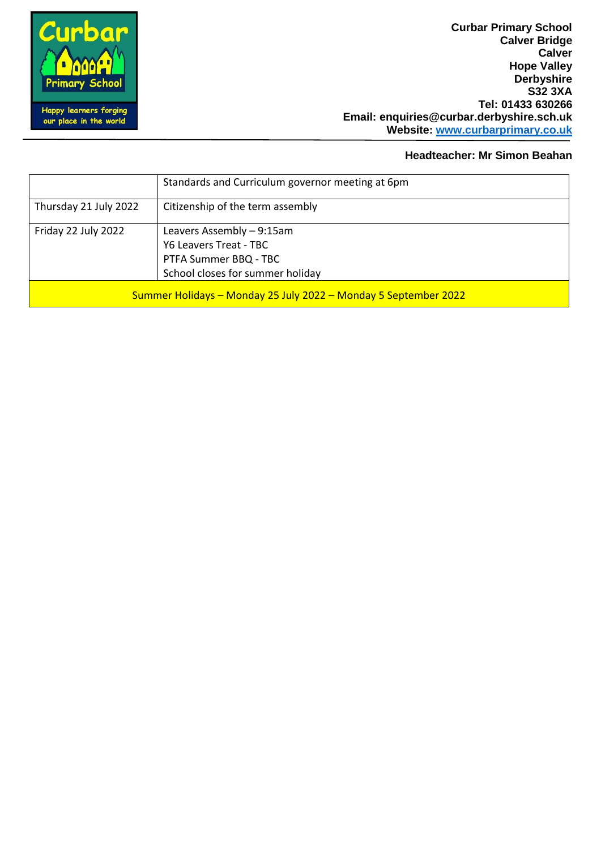**Curbar Primary School Calver Bridge Calver Hope Valley Derbyshire S32 3XA Tel: 01433 630266 Email: enquiries@curbar.derbyshire.sch.uk Website: [www.curbarprimary.co.uk](http://www.curbarprimary.co.uk/)**

#### **Headteacher: Mr Simon Beahan**

|                                                                 | Standards and Curriculum governor meeting at 6pm |  |
|-----------------------------------------------------------------|--------------------------------------------------|--|
| Thursday 21 July 2022                                           | Citizenship of the term assembly                 |  |
| Friday 22 July 2022                                             | Leavers Assembly - 9:15am                        |  |
|                                                                 | Y6 Leavers Treat - TBC                           |  |
|                                                                 | PTFA Summer BBQ - TBC                            |  |
|                                                                 | School closes for summer holiday                 |  |
| Summer Holidays - Monday 25 July 2022 - Monday 5 September 2022 |                                                  |  |